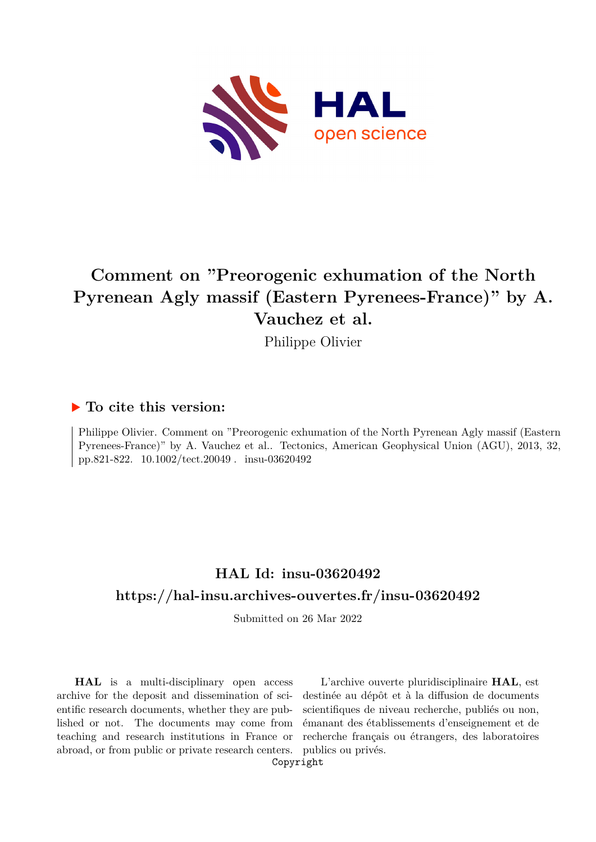

# **Comment on "Preorogenic exhumation of the North Pyrenean Agly massif (Eastern Pyrenees-France)" by A. Vauchez et al.**

Philippe Olivier

### **To cite this version:**

Philippe Olivier. Comment on "Preorogenic exhumation of the North Pyrenean Agly massif (Eastern Pyrenees-France)" by A. Vauchez et al.. Tectonics, American Geophysical Union (AGU), 2013, 32, pp.821-822. 10.1002/tect.20049 . insu-03620492

## **HAL Id: insu-03620492 <https://hal-insu.archives-ouvertes.fr/insu-03620492>**

Submitted on 26 Mar 2022

**HAL** is a multi-disciplinary open access archive for the deposit and dissemination of scientific research documents, whether they are published or not. The documents may come from teaching and research institutions in France or abroad, or from public or private research centers.

L'archive ouverte pluridisciplinaire **HAL**, est destinée au dépôt et à la diffusion de documents scientifiques de niveau recherche, publiés ou non, émanant des établissements d'enseignement et de recherche français ou étrangers, des laboratoires publics ou privés.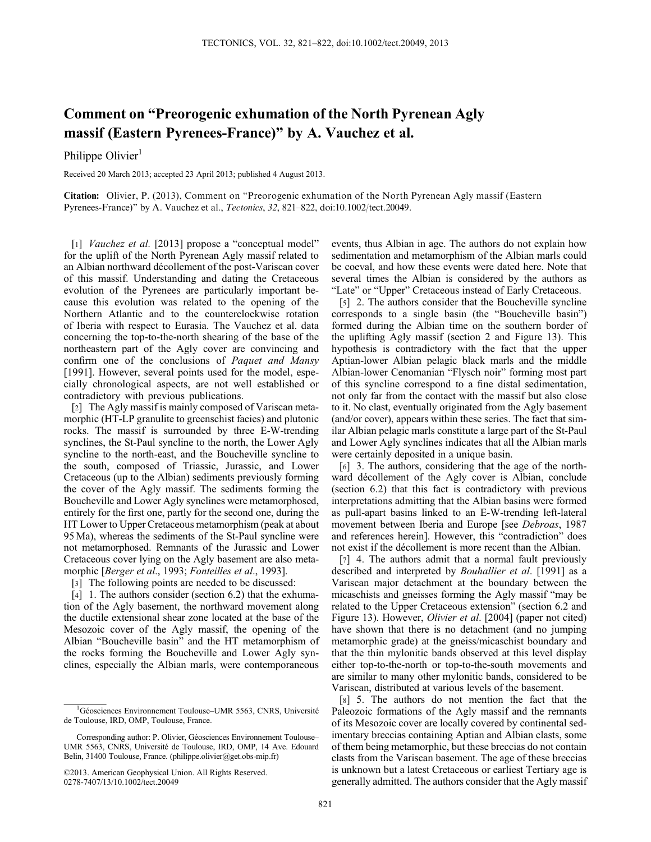## Comment on "Preorogenic exhumation of the North Pyrenean Agly massif (Eastern Pyrenees-France)" by A. Vauchez et al.

Philippe Olivier<sup>1</sup>

Received 20 March 2013; accepted 23 April 2013; published 4 August 2013.

Citation: Olivier, P. (2013), Comment on "Preorogenic exhumation of the North Pyrenean Agly massif (Eastern Pyrenees-France)" by A. Vauchez et al., Tectonics, 32, 821–822, doi:10.1002/tect.20049.

[1] *Vauchez et al.* [2013] propose a "conceptual model" for the uplift of the North Pyrenean Agly massif related to an Albian northward décollement of the post-Variscan cover of this massif. Understanding and dating the Cretaceous evolution of the Pyrenees are particularly important because this evolution was related to the opening of the Northern Atlantic and to the counterclockwise rotation of Iberia with respect to Eurasia. The Vauchez et al. data concerning the top-to-the-north shearing of the base of the northeastern part of the Agly cover are convincing and confirm one of the conclusions of Paquet and Mansy [1991]. However, several points used for the model, especially chronological aspects, are not well established or contradictory with previous publications.

[2] The Agly massif is mainly composed of Variscan metamorphic (HT-LP granulite to greenschist facies) and plutonic rocks. The massif is surrounded by three E-W-trending synclines, the St-Paul syncline to the north, the Lower Agly syncline to the north-east, and the Boucheville syncline to the south, composed of Triassic, Jurassic, and Lower Cretaceous (up to the Albian) sediments previously forming the cover of the Agly massif. The sediments forming the Boucheville and Lower Agly synclines were metamorphosed, entirely for the first one, partly for the second one, during the HT Lower to Upper Cretaceous metamorphism (peak at about 95 Ma), whereas the sediments of the St-Paul syncline were not metamorphosed. Remnants of the Jurassic and Lower Cretaceous cover lying on the Agly basement are also metamorphic [Berger et al., 1993; Fonteilles et al., 1993].

[3] The following points are needed to be discussed:

[4] 1. The authors consider (section 6.2) that the exhumation of the Agly basement, the northward movement along the ductile extensional shear zone located at the base of the Mesozoic cover of the Agly massif, the opening of the Albian "Boucheville basin" and the HT metamorphism of the rocks forming the Boucheville and Lower Agly synclines, especially the Albian marls, were contemporaneous

events, thus Albian in age. The authors do not explain how sedimentation and metamorphism of the Albian marls could be coeval, and how these events were dated here. Note that several times the Albian is considered by the authors as "Late" or "Upper" Cretaceous instead of Early Cretaceous.

[5] 2. The authors consider that the Boucheville syncline corresponds to a single basin (the "Boucheville basin") formed during the Albian time on the southern border of the uplifting Agly massif (section 2 and Figure 13). This hypothesis is contradictory with the fact that the upper Aptian-lower Albian pelagic black marls and the middle Albian-lower Cenomanian "Flysch noir" forming most part of this syncline correspond to a fine distal sedimentation, not only far from the contact with the massif but also close to it. No clast, eventually originated from the Agly basement (and/or cover), appears within these series. The fact that similar Albian pelagic marls constitute a large part of the St-Paul and Lower Agly synclines indicates that all the Albian marls were certainly deposited in a unique basin.

[6] 3. The authors, considering that the age of the northward décollement of the Agly cover is Albian, conclude (section 6.2) that this fact is contradictory with previous interpretations admitting that the Albian basins were formed as pull-apart basins linked to an E-W-trending left-lateral movement between Iberia and Europe [see Debroas, 1987 and references herein]. However, this "contradiction" does not exist if the décollement is more recent than the Albian.

[7] 4. The authors admit that a normal fault previously described and interpreted by *Bouhallier et al.* [1991] as a Variscan major detachment at the boundary between the micaschists and gneisses forming the Agly massif "may be related to the Upper Cretaceous extension" (section 6.2 and Figure 13). However, Olivier et al. [2004] (paper not cited) have shown that there is no detachment (and no jumping metamorphic grade) at the gneiss/micaschist boundary and that the thin mylonitic bands observed at this level display either top-to-the-north or top-to-the-south movements and are similar to many other mylonitic bands, considered to be Variscan, distributed at various levels of the basement.

[8] 5. The authors do not mention the fact that the Paleozoic formations of the Agly massif and the remnants of its Mesozoic cover are locally covered by continental sedimentary breccias containing Aptian and Albian clasts, some of them being metamorphic, but these breccias do not contain clasts from the Variscan basement. The age of these breccias is unknown but a latest Cretaceous or earliest Tertiary age is generally admitted. The authors consider that the Agly massif

<sup>&</sup>lt;sup>1</sup>Géosciences Environnement Toulouse–UMR 5563, CNRS, Université de Toulouse, IRD, OMP, Toulouse, France.

Corresponding author: P. Olivier, Géosciences Environnement Toulouse– UMR 5563, CNRS, Université de Toulouse, IRD, OMP, 14 Ave. Edouard Belin, 31400 Toulouse, France. (philippe.olivier@get.obs-mip.fr)

<sup>©2013.</sup> American Geophysical Union. All Rights Reserved. 0278-7407/13/10.1002/tect.20049